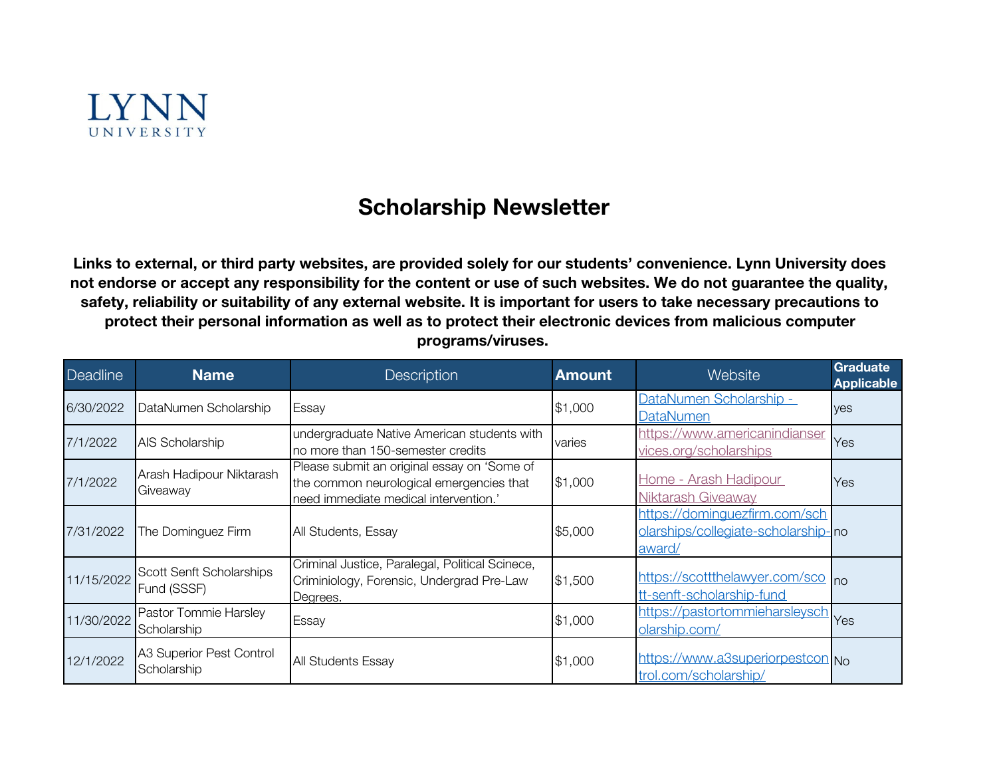

## Scholarship Newsletter

Links to external, or third party websites, are provided solely for our students' convenience. Lynn University does not endorse or accept any responsibility for the content or use of such websites. We do not guarantee the quality, safety, reliability or suitability of any external website. It is important for users to take necessary precautions to protect their personal information as well as to protect their electronic devices from malicious computer programs/viruses.

| <b>Deadline</b> | <b>Name</b>                             | Description                                                                                                                      | <b>Amount</b> | Website                                                                        | Graduate<br><b>Applicable</b> |
|-----------------|-----------------------------------------|----------------------------------------------------------------------------------------------------------------------------------|---------------|--------------------------------------------------------------------------------|-------------------------------|
| 6/30/2022       | DataNumen Scholarship                   | Essay                                                                                                                            | \$1,000       | DataNumen Scholarship -<br><b>DataNumen</b>                                    | yes                           |
| 7/1/2022        | AIS Scholarship                         | undergraduate Native American students with<br>no more than 150-semester credits                                                 | varies        | https://www.americanindianser<br>vices.org/scholarships                        | Yes                           |
| 7/1/2022        | Arash Hadipour Niktarash<br>Giveaway    | Please submit an original essay on 'Some of<br>the common neurological emergencies that<br>need immediate medical intervention.' | \$1,000       | Home - Arash Hadipour<br><b>Niktarash Giveaway</b>                             | Yes                           |
| 7/31/2022       | The Dominguez Firm                      | All Students, Essay                                                                                                              | \$5,000       | https://dominguezfirm.com/sch<br>olarships/collegiate-scholarship-no<br>award/ |                               |
| 11/15/2022      | Scott Senft Scholarships<br>Fund (SSSF) | Criminal Justice, Paralegal, Political Scinece,<br>Criminiology, Forensic, Undergrad Pre-Law<br>Degrees.                         | \$1,500       | https://scottthelawyer.com/sco no<br>tt-senft-scholarship-fund                 |                               |
| 11/30/2022      | Pastor Tommie Harsley<br>Scholarship    | Essay                                                                                                                            | \$1,000       | https://pastortommieharsleysch<br>olarship.com/                                |                               |
| 12/1/2022       | A3 Superior Pest Control<br>Scholarship | <b>All Students Essay</b>                                                                                                        | \$1,000       | https://www.a3superiorpestcon.No<br>trol.com/scholarship/                      |                               |